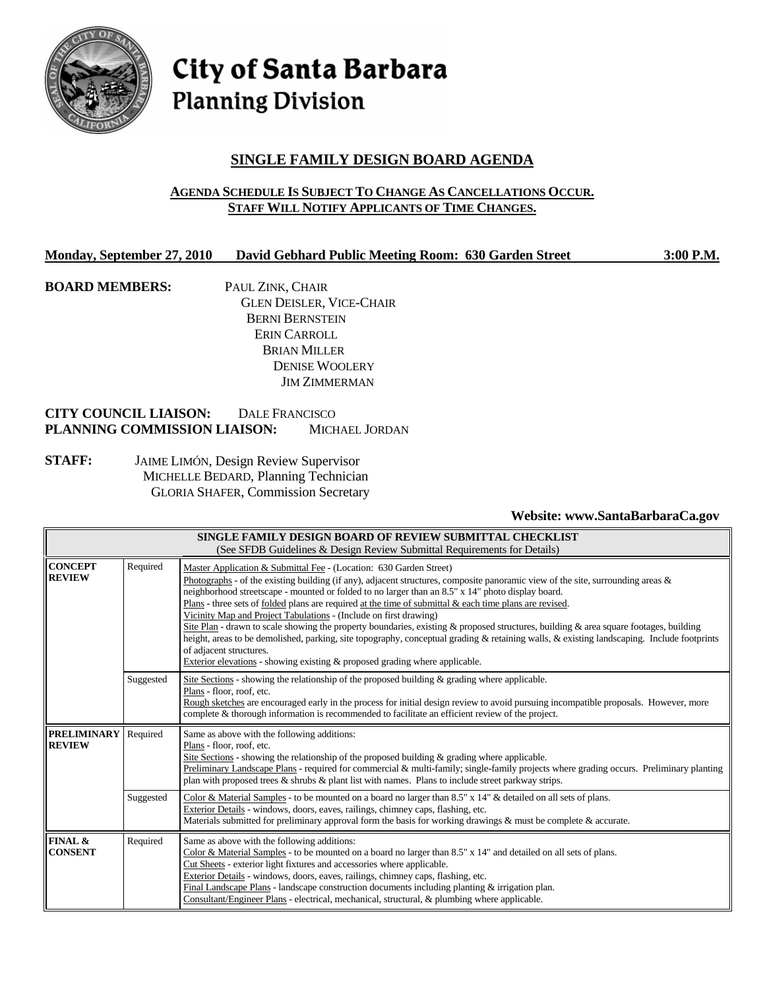

City of Santa Barbara **Planning Division** 

# **SINGLE FAMILY DESIGN BOARD AGENDA**

### **AGENDA SCHEDULE IS SUBJECT TO CHANGE AS CANCELLATIONS OCCUR. STAFF WILL NOTIFY APPLICANTS OF TIME CHANGES.**

#### **Monday, September 27, 2010 David Gebhard Public Meeting Room: 630 Garden Street 3:00 P.M.**

**BOARD MEMBERS:** PAUL ZINK, CHAIR GLEN DEISLER, VICE-CHAIR BERNI BERNSTEIN ERIN CARROLL BRIAN MILLER DENISE WOOLERY JIM ZIMMERMAN

# **CITY COUNCIL LIAISON:** DALE FRANCISCO **PLANNING COMMISSION LIAISON:** MICHAEL JORDAN

**STAFF:** JAIME LIMÓN, Design Review Supervisor MICHELLE BEDARD, Planning Technician GLORIA SHAFER, Commission Secretary

# **Website: www.SantaBarbaraCa.gov**

| SINGLE FAMILY DESIGN BOARD OF REVIEW SUBMITTAL CHECKLIST<br>(See SFDB Guidelines & Design Review Submittal Requirements for Details) |           |                                                                                                                                                                                                                                                                                                                                                                                                                                                                                                                                                                                                                                                                                                                                                                                                                                                                                                   |  |  |  |
|--------------------------------------------------------------------------------------------------------------------------------------|-----------|---------------------------------------------------------------------------------------------------------------------------------------------------------------------------------------------------------------------------------------------------------------------------------------------------------------------------------------------------------------------------------------------------------------------------------------------------------------------------------------------------------------------------------------------------------------------------------------------------------------------------------------------------------------------------------------------------------------------------------------------------------------------------------------------------------------------------------------------------------------------------------------------------|--|--|--|
| <b>CONCEPT</b><br><b>REVIEW</b>                                                                                                      | Required  | Master Application & Submittal Fee - (Location: 630 Garden Street)<br>Photographs - of the existing building (if any), adjacent structures, composite panoramic view of the site, surrounding areas $\&$<br>neighborhood streetscape - mounted or folded to no larger than an 8.5" x 14" photo display board.<br>Plans - three sets of folded plans are required at the time of submittal $\&$ each time plans are revised.<br>Vicinity Map and Project Tabulations - (Include on first drawing)<br>Site Plan - drawn to scale showing the property boundaries, existing & proposed structures, building & area square footages, building<br>height, areas to be demolished, parking, site topography, conceptual grading & retaining walls, & existing landscaping. Include footprints<br>of adjacent structures.<br>Exterior elevations - showing existing & proposed grading where applicable. |  |  |  |
|                                                                                                                                      | Suggested | Site Sections - showing the relationship of the proposed building $\&$ grading where applicable.<br>Plans - floor, roof, etc.<br>Rough sketches are encouraged early in the process for initial design review to avoid pursuing incompatible proposals. However, more<br>complete & thorough information is recommended to facilitate an efficient review of the project.                                                                                                                                                                                                                                                                                                                                                                                                                                                                                                                         |  |  |  |
| <b>PRELIMINARY</b><br><b>REVIEW</b>                                                                                                  | Required  | Same as above with the following additions:<br>Plans - floor, roof, etc.<br>Site Sections - showing the relationship of the proposed building $\&$ grading where applicable.<br>Preliminary Landscape Plans - required for commercial & multi-family; single-family projects where grading occurs. Preliminary planting<br>plan with proposed trees $\&$ shrubs $\&$ plant list with names. Plans to include street parkway strips.                                                                                                                                                                                                                                                                                                                                                                                                                                                               |  |  |  |
|                                                                                                                                      | Suggested | Color & Material Samples - to be mounted on a board no larger than 8.5" x 14" & detailed on all sets of plans.<br>Exterior Details - windows, doors, eaves, railings, chimney caps, flashing, etc.<br>Materials submitted for preliminary approval form the basis for working drawings $\&$ must be complete $\&$ accurate.                                                                                                                                                                                                                                                                                                                                                                                                                                                                                                                                                                       |  |  |  |
| FINAL &<br><b>CONSENT</b>                                                                                                            | Required  | Same as above with the following additions:<br>Color & Material Samples - to be mounted on a board no larger than $8.5" \times 14"$ and detailed on all sets of plans.<br>Cut Sheets - exterior light fixtures and accessories where applicable.<br>Exterior Details - windows, doors, eaves, railings, chimney caps, flashing, etc.<br>Final Landscape Plans - landscape construction documents including planting $\&$ irrigation plan.<br>Consultant/Engineer Plans - electrical, mechanical, structural, & plumbing where applicable.                                                                                                                                                                                                                                                                                                                                                         |  |  |  |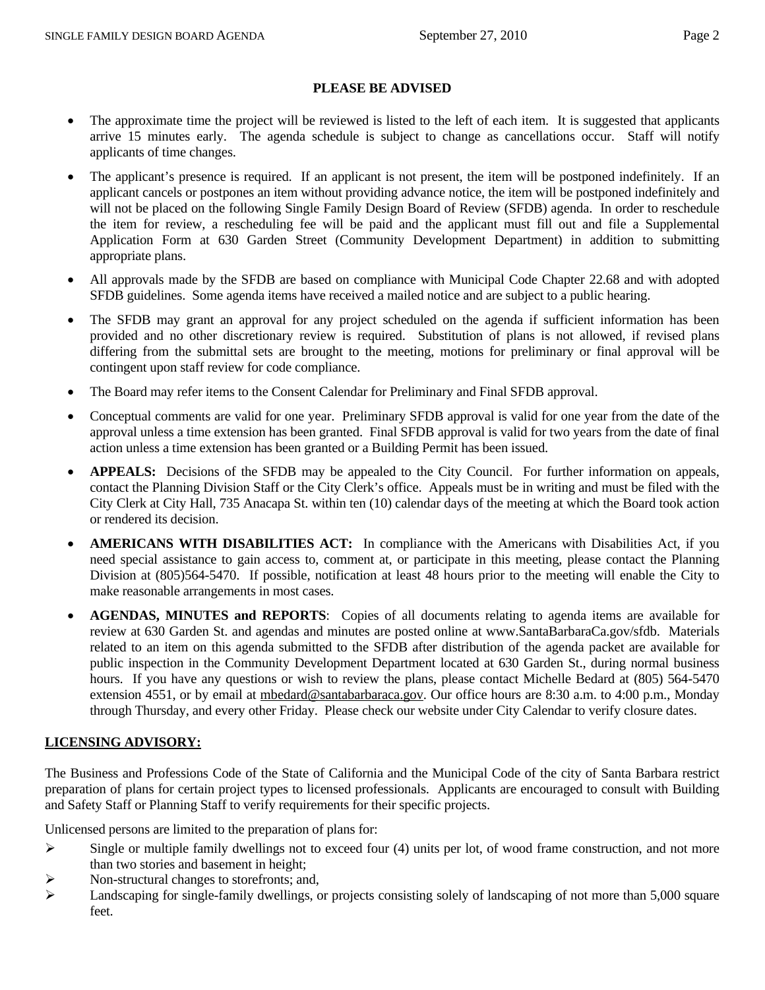### **PLEASE BE ADVISED**

- The approximate time the project will be reviewed is listed to the left of each item. It is suggested that applicants arrive 15 minutes early. The agenda schedule is subject to change as cancellations occur. Staff will notify applicants of time changes.
- The applicant's presence is required. If an applicant is not present, the item will be postponed indefinitely. If an applicant cancels or postpones an item without providing advance notice, the item will be postponed indefinitely and will not be placed on the following Single Family Design Board of Review (SFDB) agenda. In order to reschedule the item for review, a rescheduling fee will be paid and the applicant must fill out and file a Supplemental Application Form at 630 Garden Street (Community Development Department) in addition to submitting appropriate plans.
- All approvals made by the SFDB are based on compliance with Municipal Code Chapter 22.68 and with adopted SFDB guidelines. Some agenda items have received a mailed notice and are subject to a public hearing.
- The SFDB may grant an approval for any project scheduled on the agenda if sufficient information has been provided and no other discretionary review is required. Substitution of plans is not allowed, if revised plans differing from the submittal sets are brought to the meeting, motions for preliminary or final approval will be contingent upon staff review for code compliance.
- The Board may refer items to the Consent Calendar for Preliminary and Final SFDB approval.
- Conceptual comments are valid for one year. Preliminary SFDB approval is valid for one year from the date of the approval unless a time extension has been granted. Final SFDB approval is valid for two years from the date of final action unless a time extension has been granted or a Building Permit has been issued.
- **APPEALS:** Decisions of the SFDB may be appealed to the City Council. For further information on appeals, contact the Planning Division Staff or the City Clerk's office. Appeals must be in writing and must be filed with the City Clerk at City Hall, 735 Anacapa St. within ten (10) calendar days of the meeting at which the Board took action or rendered its decision.
- **AMERICANS WITH DISABILITIES ACT:** In compliance with the Americans with Disabilities Act, if you need special assistance to gain access to, comment at, or participate in this meeting, please contact the Planning Division at (805)564-5470. If possible, notification at least 48 hours prior to the meeting will enable the City to make reasonable arrangements in most cases.
- AGENDAS, MINUTES and REPORTS: Copies of all documents relating to agenda items are available for review at 630 Garden St. and agendas and minutes are posted online at www.SantaBarbaraCa.gov/sfdb. Materials related to an item on this agenda submitted to the SFDB after distribution of the agenda packet are available for public inspection in the Community Development Department located at 630 Garden St., during normal business hours. If you have any questions or wish to review the plans, please contact Michelle Bedard at (805) 564-5470 extension 4551, or by email at mbedard@santabarbaraca.gov. Our office hours are 8:30 a.m. to 4:00 p.m., Monday through Thursday, and every other Friday. Please check our website under City Calendar to verify closure dates.

# **LICENSING ADVISORY:**

The Business and Professions Code of the State of California and the Municipal Code of the city of Santa Barbara restrict preparation of plans for certain project types to licensed professionals. Applicants are encouraged to consult with Building and Safety Staff or Planning Staff to verify requirements for their specific projects.

Unlicensed persons are limited to the preparation of plans for:

- $\triangleright$  Single or multiple family dwellings not to exceed four (4) units per lot, of wood frame construction, and not more than two stories and basement in height;
- $\triangleright$  Non-structural changes to storefronts; and,
- Landscaping for single-family dwellings, or projects consisting solely of landscaping of not more than 5,000 square feet.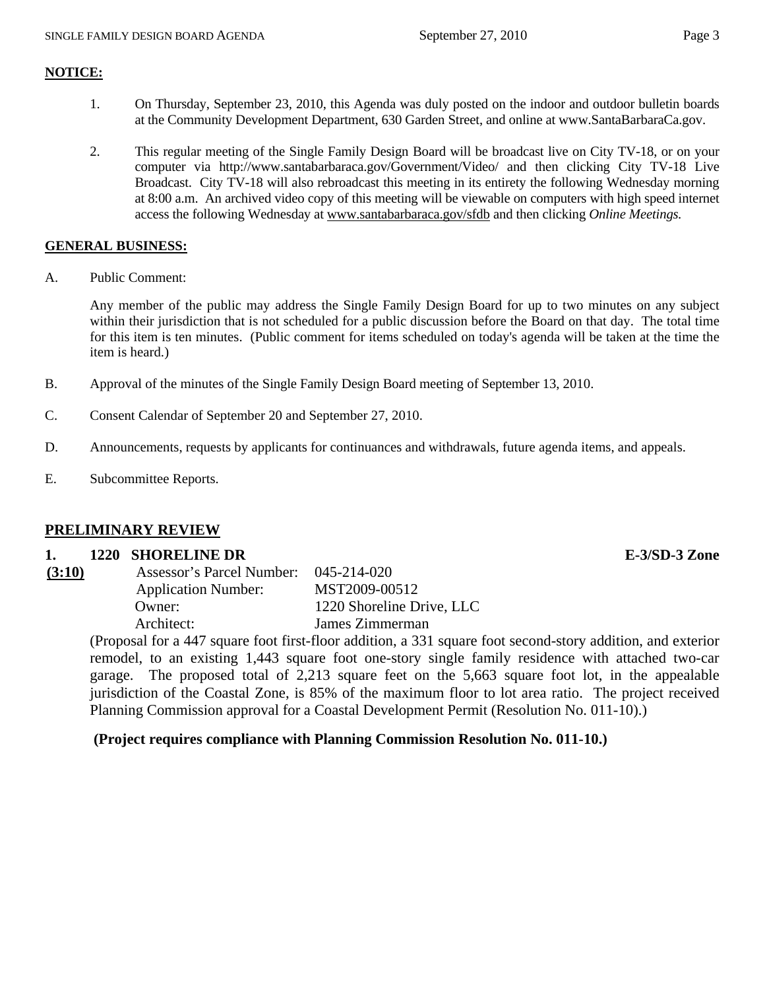### **NOTICE:**

- 1. On Thursday, September 23, 2010, this Agenda was duly posted on the indoor and outdoor bulletin boards at the Community Development Department, 630 Garden Street, and online at www.SantaBarbaraCa.gov.
- 2. This regular meeting of the Single Family Design Board will be broadcast live on City TV-18, or on your computer via http://www.santabarbaraca.gov/Government/Video/ and then clicking City TV-18 Live Broadcast. City TV-18 will also rebroadcast this meeting in its entirety the following Wednesday morning at 8:00 a.m. An archived video copy of this meeting will be viewable on computers with high speed internet access the following Wednesday at www.santabarbaraca.gov/sfdb and then clicking *Online Meetings.*

#### **GENERAL BUSINESS:**

A. Public Comment:

Any member of the public may address the Single Family Design Board for up to two minutes on any subject within their jurisdiction that is not scheduled for a public discussion before the Board on that day. The total time for this item is ten minutes. (Public comment for items scheduled on today's agenda will be taken at the time the item is heard.)

- B. Approval of the minutes of the Single Family Design Board meeting of September 13, 2010.
- C. Consent Calendar of September 20 and September 27, 2010.
- D. Announcements, requests by applicants for continuances and withdrawals, future agenda items, and appeals.
- E. Subcommittee Reports.

# **PRELIMINARY REVIEW**

#### **1. 1220 SHORELINE DR E-3/SD-3 Zone**

| (3:10) | Assessor's Parcel Number:  | 045-214-020               |
|--------|----------------------------|---------------------------|
|        | <b>Application Number:</b> | MST2009-00512             |
|        | Owner:                     | 1220 Shoreline Drive, LLC |
|        | Architect:                 | James Zimmerman           |
|        |                            |                           |

(Proposal for a 447 square foot first-floor addition, a 331 square foot second-story addition, and exterior remodel, to an existing 1,443 square foot one-story single family residence with attached two-car garage. The proposed total of 2,213 square feet on the 5,663 square foot lot, in the appealable jurisdiction of the Coastal Zone, is 85% of the maximum floor to lot area ratio. The project received Planning Commission approval for a Coastal Development Permit (Resolution No. 011-10).)

# **(Project requires compliance with Planning Commission Resolution No. 011-10.)**